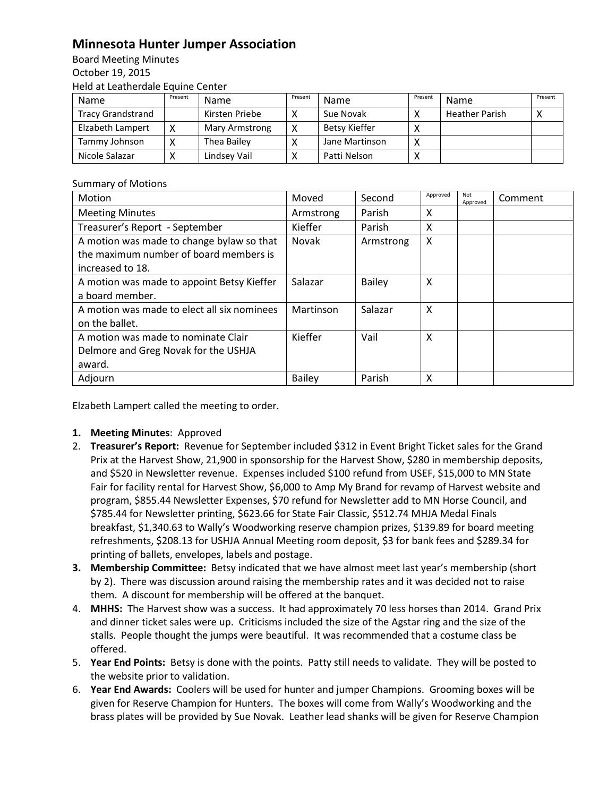## **Minnesota Hunter Jumper Association**

Board Meeting Minutes October 19, 2015 Held at Leatherdale Equine Center

| Name                     | Present | <b>Name</b>    | Present     | Name           | Present | Name                  | Present |
|--------------------------|---------|----------------|-------------|----------------|---------|-----------------------|---------|
| <b>Tracy Grandstrand</b> |         | Kirsten Priebe |             | Sue Novak      |         | <b>Heather Parish</b> |         |
| Elzabeth Lampert         |         | Mary Armstrong | $\check{ }$ | Betsy Kieffer  |         |                       |         |
| Tammy Johnson            |         | Thea Bailey    |             | Jane Martinson |         |                       |         |
| Nicole Salazar           |         | Lindsey Vail   |             | Patti Nelson   |         |                       |         |

## Summary of Motions

| Motion                                                                                                  | Moved         | Second        | Approved | Not<br>Approved | Comment |
|---------------------------------------------------------------------------------------------------------|---------------|---------------|----------|-----------------|---------|
| <b>Meeting Minutes</b>                                                                                  | Armstrong     | Parish        | X        |                 |         |
| Treasurer's Report - September                                                                          | Kieffer       | Parish        | X        |                 |         |
| A motion was made to change bylaw so that<br>the maximum number of board members is<br>increased to 18. | Novak         | Armstrong     | X        |                 |         |
| A motion was made to appoint Betsy Kieffer<br>a board member.                                           | Salazar       | <b>Bailey</b> | X        |                 |         |
| A motion was made to elect all six nominees<br>on the ballet.                                           | Martinson     | Salazar       | X        |                 |         |
| A motion was made to nominate Clair<br>Delmore and Greg Novak for the USHJA<br>award.                   | Kieffer       | Vail          | X        |                 |         |
| Adjourn                                                                                                 | <b>Bailey</b> | Parish        | X        |                 |         |

Elzabeth Lampert called the meeting to order.

- **1. Meeting Minutes**: Approved
- 2. **Treasurer's Report:** Revenue for September included \$312 in Event Bright Ticket sales for the Grand Prix at the Harvest Show, 21,900 in sponsorship for the Harvest Show, \$280 in membership deposits, and \$520 in Newsletter revenue. Expenses included \$100 refund from USEF, \$15,000 to MN State Fair for facility rental for Harvest Show, \$6,000 to Amp My Brand for revamp of Harvest website and program, \$855.44 Newsletter Expenses, \$70 refund for Newsletter add to MN Horse Council, and \$785.44 for Newsletter printing, \$623.66 for State Fair Classic, \$512.74 MHJA Medal Finals breakfast, \$1,340.63 to Wally's Woodworking reserve champion prizes, \$139.89 for board meeting refreshments, \$208.13 for USHJA Annual Meeting room deposit, \$3 for bank fees and \$289.34 for printing of ballets, envelopes, labels and postage.
- **3. Membership Committee:** Betsy indicated that we have almost meet last year's membership (short by 2). There was discussion around raising the membership rates and it was decided not to raise them. A discount for membership will be offered at the banquet.
- 4. **MHHS:** The Harvest show was a success. It had approximately 70 less horses than 2014. Grand Prix and dinner ticket sales were up. Criticisms included the size of the Agstar ring and the size of the stalls. People thought the jumps were beautiful. It was recommended that a costume class be offered.
- 5. **Year End Points:** Betsy is done with the points. Patty still needs to validate. They will be posted to the website prior to validation.
- 6. **Year End Awards:** Coolers will be used for hunter and jumper Champions. Grooming boxes will be given for Reserve Champion for Hunters. The boxes will come from Wally's Woodworking and the brass plates will be provided by Sue Novak. Leather lead shanks will be given for Reserve Champion